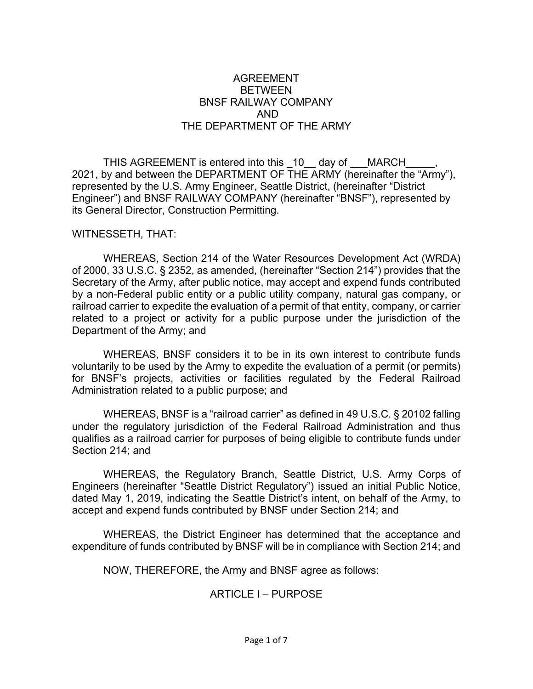### AGREEMENT BETWEEN BNSF RAILWAY COMPANY AND THE DEPARTMENT OF THE ARMY

THIS AGREEMENT is entered into this \_10 day of \_\_\_MARCH\_ 2021, by and between the DEPARTMENT OF THE ARMY (hereinafter the "Army"), represented by the U.S. Army Engineer, Seattle District, (hereinafter "District Engineer") and BNSF RAILWAY COMPANY (hereinafter "BNSF"), represented by its General Director, Construction Permitting.

#### WITNESSETH, THAT:

WHEREAS, Section 214 of the Water Resources Development Act (WRDA) of 2000, 33 U.S.C. § 2352, as amended, (hereinafter "Section 214") provides that the Secretary of the Army, after public notice, may accept and expend funds contributed by a non-Federal public entity or a public utility company, natural gas company, or railroad carrier to expedite the evaluation of a permit of that entity, company, or carrier related to a project or activity for a public purpose under the jurisdiction of the Department of the Army; and

WHEREAS, BNSF considers it to be in its own interest to contribute funds voluntarily to be used by the Army to expedite the evaluation of a permit (or permits) for BNSF's projects, activities or facilities regulated by the Federal Railroad Administration related to a public purpose; and

WHEREAS, BNSF is a "railroad carrier" as defined in 49 U.S.C. § 20102 falling under the regulatory jurisdiction of the Federal Railroad Administration and thus qualifies as a railroad carrier for purposes of being eligible to contribute funds under Section 214; and

WHEREAS, the Regulatory Branch, Seattle District, U.S. Army Corps of Engineers (hereinafter "Seattle District Regulatory") issued an initial Public Notice, dated May 1, 2019, indicating the Seattle District's intent, on behalf of the Army, to accept and expend funds contributed by BNSF under Section 214; and

WHEREAS, the District Engineer has determined that the acceptance and expenditure of funds contributed by BNSF will be in compliance with Section 214; and

NOW, THEREFORE, the Army and BNSF agree as follows:

# ARTICLE I – PURPOSE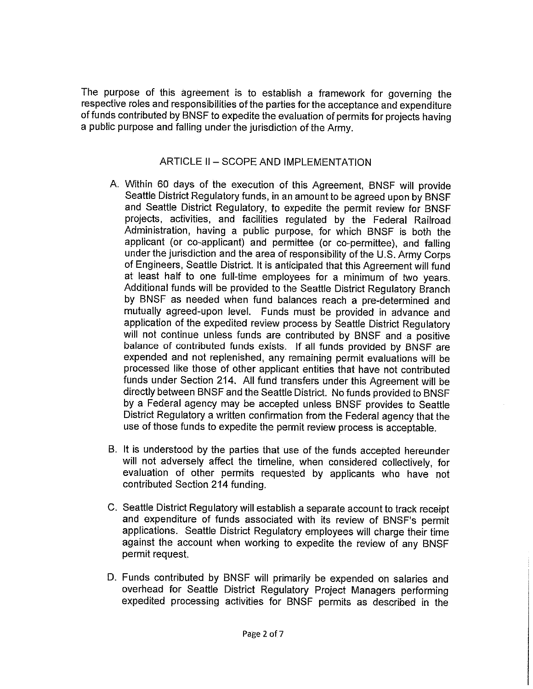The purpose of this agreement is to establish a framework for governing the respective roles and responsibilities of the parties for the acceptance and expenditure of funds contributed by BNSF to expedite the evaluation of permits for projects having a public purpose and falling under the jurisdiction of the Army.

# ARTICLE II - SCOPE AND IMPLEMENTATION

- A. Within 60 days of the execution of this Agreement, BNSF will provide Seattle District Regulatory funds, in an amount to be agreed upon by BNSF and Seattle District Regulatory, to expedite the permit review for BNSF projects, activities, and facilities regulated by the Federal Railroad Administration, having a public purpose, for which BNSF is both the applicant (or co-applicant) and permittee (or co-permittee), and falling under the jurisdiction and the area of responsibility of the U.S. Army Corps of Engineers, Seattle District. It is anticipated that this Agreement will fund at least half to one full-time employees for a minimum of two years. Additional funds will be provided to the Seattle District Regulatory Branch by BNSF as needed when fund balances reach a pre-determined and mutually agreed-upon level. Funds must be provided in advance and application of the expedited review process by Seattle District Regulatory will not continue unless funds are contributed by BNSF and a positive balance of contributed funds exists. If all funds provided by BNSF are expended and not replenished, any remaining permit evaluations will be processed like those of other applicant entities that have not contributed funds under Section 214. All fund transfers under this Agreement will be directly between BNSF and the Seattle District. No funds provided to BNSF by a Federal agency may be accepted unless BNSF provides to Seattle District Regulatory a written confirmation from the Federal agency that the use of those funds to expedite the permit review process is acceptable.
- B. It is understood by the parties that use of the funds accepted hereunder will not adversely affect the timeline, when considered collectively, for evaluation of other permits requested by applicants who have not contributed Section 214 funding.
- C. Seattle District Regulatory will establish a separate account to track receipt and expenditure of funds associated with its review of BNSF's permit applications. Seattle District Regulatory employees will charge their time against the account when working to expedite the review of any BNSF permit request.
- D. Funds contributed by BNSF will primarily be expended on salaries and overhead for Seattle District Regulatory Project Managers performing expedited processing activities for BNSF permits as described in the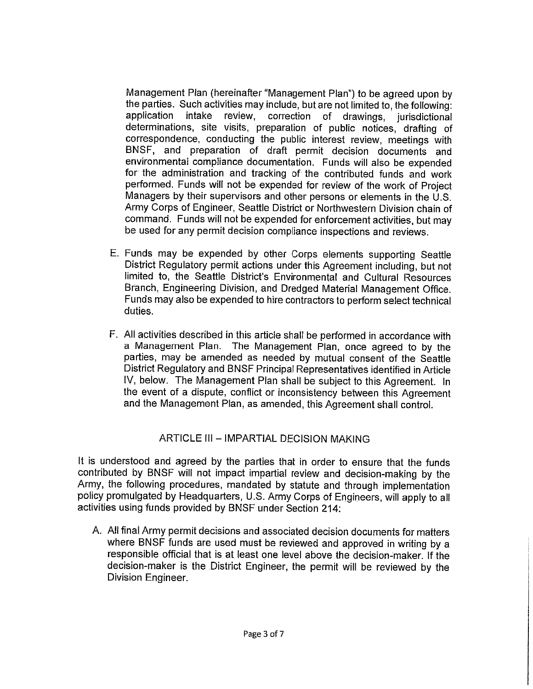Management Plan (hereinafter "Management Plan") to be agreed upon by the parties. Such activities may include, but are not limited to, the following: application intake review, correction of drawings, jurisdictional determinations, site visits, preparation of public notices, drafting of correspondence, conducting the public interest review, meetings with BNSF, and preparation of draft permit decision documents and environmental compliance documentation. Funds will also be expended for the administration and tracking of the contributed funds and work performed. Funds will not be expended for review of the work of Project Managers by their supervisors and other persons or elements in the U.S. Army Corps of Engineer, Seattle District or Northwestern Division chain of command. Funds will not be expended for enforcement activities, but may be used for any permit decision compliance inspections and reviews.

- E. Funds may be expended by other Corps elements supporting Seattle District Regulatory permit actions under this Agreement including, but not limited to, the Seattle District's Environmental and Cultural Resources Branch, Engineering Division, and Dredged Material Management Office. Funds may also be expended to hire contractors to perform select technical duties.
- F. All activities described in this article shall be performed in accordance with a Management Plan. The Management Plan, once agreed to by the parties, may be amended as needed by mutual consent of the Seattle District Regulatory and BNSF Principal Representatives identified in Article IV, below. The Management Plan shall be subject to this Agreement. In the event of a dispute, conflict or inconsistency between this Agreement and the Management Plan, as amended, this Agreement shall control.

# ARTICLE III - IMPARTIAL DECISION MAKING

It is understood and agreed by the parties that in order to ensure that the funds contributed by BNSF will not impact impartial review and decision-making by the Army, the following procedures, mandated by statute and through implementation policy promulgated by Headquarters, U.S. Army Corps of Engineers, will apply to all activities using funds provided by BNSF under Section 214:

A. All final Army permit decisions and associated decision documents for matters where BNSF funds are used must be reviewed and approved in writing by a responsible official that is at least one level above the decision-maker. If the decision-maker is the District Engineer, the permit will be reviewed by the Division Engineer.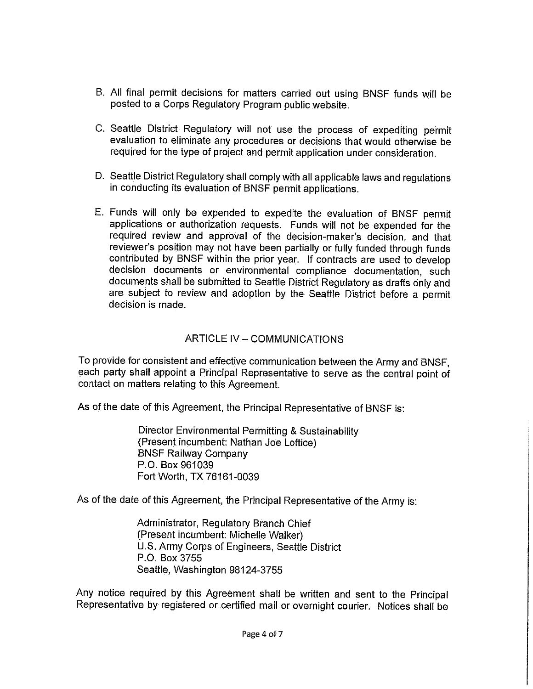- B. All final permit decisions for matters carried out using BNSF funds will be posted to a Corps Regulatory Program public website.
- C. Seattle District Regulatory will not use the process of expediting permit evaluation to eliminate any procedures or decisions that would otherwise be required for the type of project and permit application under consideration.
- D. Seattle District Regulatory shall comply with all applicable laws and regulations in conducting its evaluation of BNSF permit applications.
- E. Funds will only be expended to expedite the evaluation of BNSF permit applications or authorization requests. Funds will not be expended for the required review and approval of the decision-maker's decision, and that reviewer's position may not have been partially or fully funded through funds contributed by BNSF within the prior year. If contracts are used to develop decision documents or environmental compliance documentation, such documents shall be submitted to Seattle District Regulatory as drafts only and are subject to review and adoption by the Seattle District before a permit decision is made.

# ARTICLE IV - COMMUNICATIONS

To provide for consistent and effective communication between the Army and BNSF, each party shall appoint a Principal Representative to serve as the central point of contact on matters relating to this Agreement.

As of the date of this Agreement, the Principal Representative of BNSF is:

Director Environmental Permitting & Sustainability (Present incumbent: Nathan Joe Loftice) **BNSF Railway Company** P.O. Box 961039 Fort Worth, TX 76161-0039

As of the date of this Agreement, the Principal Representative of the Army is:

Administrator, Regulatory Branch Chief (Present incumbent: Michelle Walker) U.S. Army Corps of Engineers, Seattle District P.O. Box 3755 Seattle, Washington 98124-3755

Any notice required by this Agreement shall be written and sent to the Principal Representative by registered or certified mail or overnight courier. Notices shall be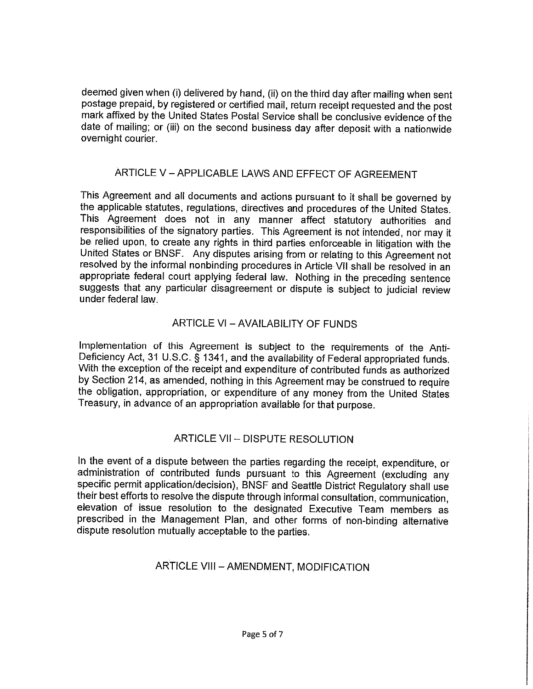deemed given when (i) delivered by hand, (ii) on the third day after mailing when sent postage prepaid, by registered or certified mail, return receipt requested and the post mark affixed by the United States Postal Service shall be conclusive evidence of the date of mailing; or (iii) on the second business day after deposit with a nationwide overnight courier.

### ARTICLE V - APPLICABLE LAWS AND EFFECT OF AGREEMENT

This Agreement and all documents and actions pursuant to it shall be governed by the applicable statutes, regulations, directives and procedures of the United States. This Agreement does not in any manner affect statutory authorities and responsibilities of the signatory parties. This Agreement is not intended, nor may it be relied upon, to create any rights in third parties enforceable in litigation with the United States or BNSF. Any disputes arising from or relating to this Agreement not resolved by the informal nonbinding procedures in Article VII shall be resolved in an appropriate federal court applying federal law. Nothing in the preceding sentence suggests that any particular disagreement or dispute is subject to judicial review under federal law

# ARTICLE VI - AVAILABILITY OF FUNDS

Implementation of this Agreement is subject to the requirements of the Anti-Deficiency Act, 31 U.S.C. § 1341, and the availability of Federal appropriated funds. With the exception of the receipt and expenditure of contributed funds as authorized by Section 214, as amended, nothing in this Agreement may be construed to require the obligation, appropriation, or expenditure of any money from the United States Treasury, in advance of an appropriation available for that purpose.

# ARTICLE VII - DISPUTE RESOLUTION

In the event of a dispute between the parties regarding the receipt, expenditure, or administration of contributed funds pursuant to this Agreement (excluding any specific permit application/decision). BNSF and Seattle District Regulatory shall use their best efforts to resolve the dispute through informal consultation, communication, elevation of issue resolution to the designated Executive Team members as prescribed in the Management Plan, and other forms of non-binding alternative dispute resolution mutually acceptable to the parties.

# ARTICLE VIII - AMENDMENT, MODIFICATION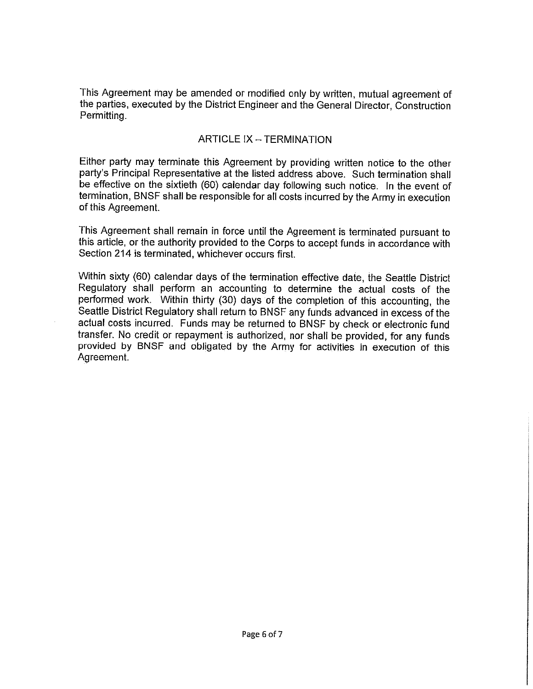This Agreement may be amended or modified only by written, mutual agreement of the parties, executed by the District Engineer and the General Director, Construction Permitting.

#### **ARTICLE IX - TERMINATION**

Either party may terminate this Agreement by providing written notice to the other party's Principal Representative at the listed address above. Such termination shall be effective on the sixtieth (60) calendar day following such notice. In the event of termination, BNSF shall be responsible for all costs incurred by the Army in execution of this Agreement.

This Agreement shall remain in force until the Agreement is terminated pursuant to this article, or the authority provided to the Corps to accept funds in accordance with Section 214 is terminated, whichever occurs first.

Within sixty (60) calendar days of the termination effective date, the Seattle District Regulatory shall perform an accounting to determine the actual costs of the performed work. Within thirty (30) days of the completion of this accounting, the Seattle District Regulatory shall return to BNSF any funds advanced in excess of the actual costs incurred. Funds may be returned to BNSF by check or electronic fund transfer. No credit or repayment is authorized, nor shall be provided, for any funds provided by BNSF and obligated by the Army for activities in execution of this Agreement.